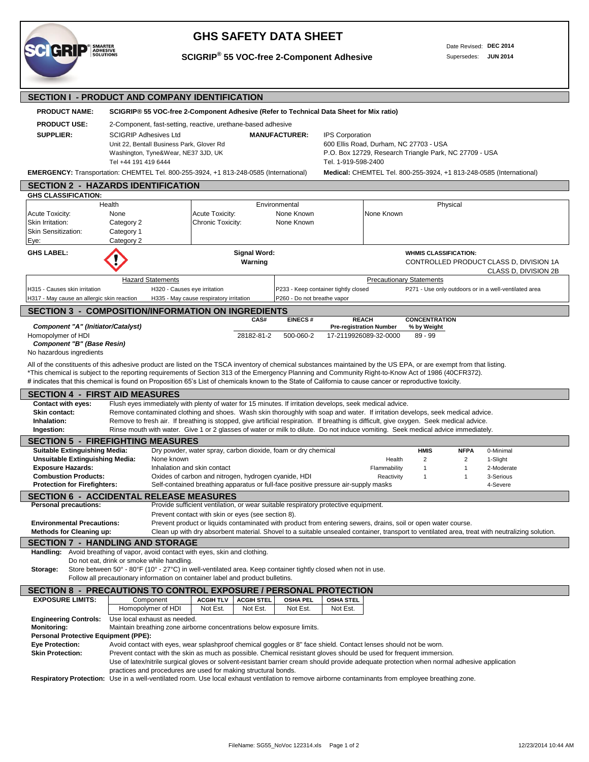

## **GHS SAFETY DATA SHEET**

## **SCIGRIP® 55 VOC-free 2-Component Adhesive**

Date Revised: **DEC 2014** Supersedes: **JUN 2014**

| <b>SECTION I - PRODUCT AND COMPANY IDENTIFICATION</b>                                                                                                                                                                                                                                                                                                                                                                                                                                                                                                                                                |                                                                                                                                                                                                                                                                    |                                                                                                                                                                                                                                            |                                |                                                                     |                  |                                                         |                                                               |                                                    |                                                                 |  |  |
|------------------------------------------------------------------------------------------------------------------------------------------------------------------------------------------------------------------------------------------------------------------------------------------------------------------------------------------------------------------------------------------------------------------------------------------------------------------------------------------------------------------------------------------------------------------------------------------------------|--------------------------------------------------------------------------------------------------------------------------------------------------------------------------------------------------------------------------------------------------------------------|--------------------------------------------------------------------------------------------------------------------------------------------------------------------------------------------------------------------------------------------|--------------------------------|---------------------------------------------------------------------|------------------|---------------------------------------------------------|---------------------------------------------------------------|----------------------------------------------------|-----------------------------------------------------------------|--|--|
| <b>PRODUCT NAME:</b>                                                                                                                                                                                                                                                                                                                                                                                                                                                                                                                                                                                 | SCIGRIP® 55 VOC-free 2-Component Adhesive (Refer to Technical Data Sheet for Mix ratio)                                                                                                                                                                            |                                                                                                                                                                                                                                            |                                |                                                                     |                  |                                                         |                                                               |                                                    |                                                                 |  |  |
| <b>PRODUCT USE:</b><br><b>SUPPLIER:</b>                                                                                                                                                                                                                                                                                                                                                                                                                                                                                                                                                              | 2-Component, fast-setting, reactive, urethane-based adhesive<br><b>SCIGRIP Adhesives Ltd</b><br>Unit 22, Bentall Business Park, Glover Rd<br>Washington, Tyne&Wear, NE37 3JD, UK<br>Tel +44 191 419 6444                                                           | <b>IPS Corporation</b><br>600 Ellis Road, Durham, NC 27703 - USA<br>P.O. Box 12729, Research Triangle Park, NC 27709 - USA<br>Tel. 1-919-598-2400                                                                                          |                                |                                                                     |                  |                                                         |                                                               |                                                    |                                                                 |  |  |
|                                                                                                                                                                                                                                                                                                                                                                                                                                                                                                                                                                                                      | EMERGENCY: Transportation: CHEMTEL Tel. 800-255-3924, +1 813-248-0585 (International)<br>Medical: CHEMTEL Tel. 800-255-3924, +1 813-248-0585 (International)                                                                                                       |                                                                                                                                                                                                                                            |                                |                                                                     |                  |                                                         |                                                               |                                                    |                                                                 |  |  |
| <b>SECTION 2 - HAZARDS IDENTIFICATION</b>                                                                                                                                                                                                                                                                                                                                                                                                                                                                                                                                                            |                                                                                                                                                                                                                                                                    |                                                                                                                                                                                                                                            |                                |                                                                     |                  |                                                         |                                                               |                                                    |                                                                 |  |  |
| <b>GHS CLASSIFICATION:</b>                                                                                                                                                                                                                                                                                                                                                                                                                                                                                                                                                                           | Health                                                                                                                                                                                                                                                             |                                                                                                                                                                                                                                            |                                |                                                                     |                  |                                                         | Physical                                                      |                                                    |                                                                 |  |  |
| <b>Acute Toxicity:</b><br>Skin Irritation:<br><b>Skin Sensitization:</b><br>Eye:                                                                                                                                                                                                                                                                                                                                                                                                                                                                                                                     | None<br>Category 2<br>Category 1<br>Category 2                                                                                                                                                                                                                     | Acute Toxicity:<br>Chronic Toxicity:                                                                                                                                                                                                       |                                | Environmental<br>None Known<br>None Known                           |                  | None Known                                              |                                                               |                                                    |                                                                 |  |  |
| <b>GHS LABEL:</b>                                                                                                                                                                                                                                                                                                                                                                                                                                                                                                                                                                                    |                                                                                                                                                                                                                                                                    |                                                                                                                                                                                                                                            | <b>Signal Word:</b><br>Warning |                                                                     |                  |                                                         | <b>WHMIS CLASSIFICATION:</b>                                  |                                                    | CONTROLLED PRODUCT CLASS D, DIVISION 1A<br>CLASS D, DIVISION 2B |  |  |
|                                                                                                                                                                                                                                                                                                                                                                                                                                                                                                                                                                                                      | <b>Hazard Statements</b>                                                                                                                                                                                                                                           |                                                                                                                                                                                                                                            |                                |                                                                     |                  | <b>Precautionary Statements</b>                         |                                                               |                                                    |                                                                 |  |  |
| H315 - Causes skin irritation                                                                                                                                                                                                                                                                                                                                                                                                                                                                                                                                                                        | H320 - Causes eye irritation                                                                                                                                                                                                                                       |                                                                                                                                                                                                                                            |                                | P233 - Keep container tightly closed<br>P260 - Do not breathe vapor |                  |                                                         |                                                               |                                                    | P271 - Use only outdoors or in a well-ventilated area           |  |  |
| H317 - May cause an allergic skin reaction<br><b>SECTION 3 - COMPOSITION/INFORMATION ON INGREDIENTS</b>                                                                                                                                                                                                                                                                                                                                                                                                                                                                                              |                                                                                                                                                                                                                                                                    | H335 - May cause respiratory irritation                                                                                                                                                                                                    |                                |                                                                     |                  |                                                         |                                                               |                                                    |                                                                 |  |  |
|                                                                                                                                                                                                                                                                                                                                                                                                                                                                                                                                                                                                      |                                                                                                                                                                                                                                                                    |                                                                                                                                                                                                                                            | CAS#                           | <b>EINECS#</b>                                                      |                  | <b>REACH</b>                                            | <b>CONCENTRATION</b>                                          |                                                    |                                                                 |  |  |
| Component "A" (Initiator/Catalyst)<br>Homopolymer of HDI<br>Component "B" (Base Resin)<br>No hazardous ingredients                                                                                                                                                                                                                                                                                                                                                                                                                                                                                   |                                                                                                                                                                                                                                                                    |                                                                                                                                                                                                                                            | 28182-81-2                     | 500-060-2                                                           |                  | <b>Pre-registration Number</b><br>17-2119926089-32-0000 | % by Weight<br>$89 - 99$                                      |                                                    |                                                                 |  |  |
| All of the constituents of this adhesive product are listed on the TSCA inventory of chemical substances maintained by the US EPA, or are exempt from that listing.<br>*This chemical is subject to the reporting requirements of Section 313 of the Emergency Planning and Community Right-to-Know Act of 1986 (40CFR372).<br># indicates that this chemical is found on Proposition 65's List of chemicals known to the State of California to cause cancer or reproductive toxicity.<br><b>SECTION 4 - FIRST AID MEASURES</b>                                                                     |                                                                                                                                                                                                                                                                    |                                                                                                                                                                                                                                            |                                |                                                                     |                  |                                                         |                                                               |                                                    |                                                                 |  |  |
| <b>Contact with eyes:</b><br>Flush eyes immediately with plenty of water for 15 minutes. If irritation develops, seek medical advice.<br>Remove contaminated clothing and shoes. Wash skin thoroughly with soap and water. If irritation develops, seek medical advice.<br>Skin contact:<br>Inhalation:<br>Remove to fresh air. If breathing is stopped, give artificial respiration. If breathing is difficult, give oxygen. Seek medical advice.<br>Rinse mouth with water. Give 1 or 2 glasses of water or milk to dilute. Do not induce vomiting. Seek medical advice immediately.<br>Ingestion: |                                                                                                                                                                                                                                                                    |                                                                                                                                                                                                                                            |                                |                                                                     |                  |                                                         |                                                               |                                                    |                                                                 |  |  |
| <b>SECTION 5 - FIREFIGHTING MEASURES</b>                                                                                                                                                                                                                                                                                                                                                                                                                                                                                                                                                             |                                                                                                                                                                                                                                                                    |                                                                                                                                                                                                                                            |                                |                                                                     |                  |                                                         |                                                               |                                                    |                                                                 |  |  |
| <b>Suitable Extinguishing Media:</b><br><b>Unsuitable Extinguishing Media:</b><br><b>Exposure Hazards:</b><br><b>Combustion Products:</b><br><b>Protection for Firefighters:</b>                                                                                                                                                                                                                                                                                                                                                                                                                     | None known                                                                                                                                                                                                                                                         | Dry powder, water spray, carbon dioxide, foam or dry chemical<br>Inhalation and skin contact<br>Oxides of carbon and nitrogen, hydrogen cyanide, HDI<br>Self-contained breathing apparatus or full-face positive pressure air-supply masks |                                |                                                                     |                  | Health<br>Flammability<br>Reactivity                    | <b>HMIS</b><br>$\overline{2}$<br>$\mathbf{1}$<br>$\mathbf{1}$ | <b>NFPA</b><br>$\overline{2}$<br>1<br>$\mathbf{1}$ | 0-Minimal<br>1-Slight<br>2-Moderate<br>3-Serious<br>4-Severe    |  |  |
| <b>SECTION 6 - ACCIDENTAL RELEASE MEASURES</b><br><b>Personal precautions:</b>                                                                                                                                                                                                                                                                                                                                                                                                                                                                                                                       |                                                                                                                                                                                                                                                                    |                                                                                                                                                                                                                                            |                                |                                                                     |                  |                                                         |                                                               |                                                    |                                                                 |  |  |
| Provide sufficient ventilation, or wear suitable respiratory protective equipment.<br>Prevent contact with skin or eyes (see section 8).<br><b>Environmental Precautions:</b><br>Prevent product or liquids contaminated with product from entering sewers, drains, soil or open water course.<br>Clean up with dry absorbent material. Shovel to a suitable unsealed container, transport to ventilated area, treat with neutralizing solution.<br><b>Methods for Cleaning up:</b>                                                                                                                  |                                                                                                                                                                                                                                                                    |                                                                                                                                                                                                                                            |                                |                                                                     |                  |                                                         |                                                               |                                                    |                                                                 |  |  |
| <b>SECTION 7 - HANDLING AND STORAGE</b><br>Handling:                                                                                                                                                                                                                                                                                                                                                                                                                                                                                                                                                 | Avoid breathing of vapor, avoid contact with eyes, skin and clothing.<br>Do not eat, drink or smoke while handling.                                                                                                                                                |                                                                                                                                                                                                                                            |                                |                                                                     |                  |                                                         |                                                               |                                                    |                                                                 |  |  |
| Store between 50° - 80°F (10° - 27°C) in well-ventilated area. Keep container tightly closed when not in use.<br>Storage:<br>Follow all precautionary information on container label and product bulletins.                                                                                                                                                                                                                                                                                                                                                                                          |                                                                                                                                                                                                                                                                    |                                                                                                                                                                                                                                            |                                |                                                                     |                  |                                                         |                                                               |                                                    |                                                                 |  |  |
| SECTION 8 - PRECAUTIONS TO CONTROL EXPOSURE / PERSONAL PROTECTION                                                                                                                                                                                                                                                                                                                                                                                                                                                                                                                                    |                                                                                                                                                                                                                                                                    |                                                                                                                                                                                                                                            |                                |                                                                     |                  |                                                         |                                                               |                                                    |                                                                 |  |  |
| <b>EXPOSURE LIMITS:</b>                                                                                                                                                                                                                                                                                                                                                                                                                                                                                                                                                                              | Component                                                                                                                                                                                                                                                          | <b>ACGIH TLV</b>                                                                                                                                                                                                                           | <b>ACGIH STEL</b>              | <b>OSHA PEL</b>                                                     | <b>OSHA STEL</b> |                                                         |                                                               |                                                    |                                                                 |  |  |
| <b>Engineering Controls:</b><br><b>Monitoring:</b><br><b>Personal Protective Equipment (PPE):</b><br><b>Eye Protection:</b>                                                                                                                                                                                                                                                                                                                                                                                                                                                                          | Homopolymer of HDI<br>Use local exhaust as needed.<br>Maintain breathing zone airborne concentrations below exposure limits.<br>Avoid contact with eyes, wear splashproof chemical goggles or 8" face shield. Contact lenses should not be worn.                   | Not Est.                                                                                                                                                                                                                                   | Not Est.                       | Not Est.                                                            | Not Est.         |                                                         |                                                               |                                                    |                                                                 |  |  |
| <b>Skin Protection:</b>                                                                                                                                                                                                                                                                                                                                                                                                                                                                                                                                                                              | Prevent contact with the skin as much as possible. Chemical resistant gloves should be used for frequent immersion.<br>Use of latex/nitrile surgical gloves or solvent-resistant barrier cream should provide adequate protection when normal adhesive application |                                                                                                                                                                                                                                            |                                |                                                                     |                  |                                                         |                                                               |                                                    |                                                                 |  |  |

practices and procedures are used for making structural bonds.

 **Respiratory Protection:** Use in a well-ventilated room. Use local exhaust ventilation to remove airborne contaminants from employee breathing zone.